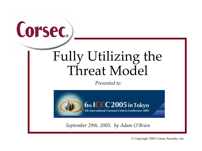

# Fully Utilizing the Threat Model

Presented to:



September 29th, 2005, by Adam O'Brien

© Copyright 2005 Corsec Security, Inc.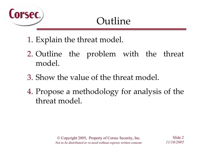

### Outline

- 1. Explain the threat model.
- 2. Outline the problem with the threat model.
- 3. Show the value of the threat model.
- 4. Propose a methodology for analysis of the threat model.

Slide 211/16/2005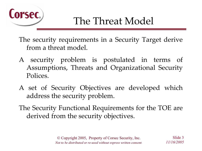

The security requirements in a Security Target derive from a threat model.

- A security problem is postulated in terms of Assumptions, Threats and Organizational Security Polices.
- A set of Security Objectives are developed which address the security problem.
- The Security Functional Requirements for the TOE are derived from the security objectives.

Slide 311/16/2005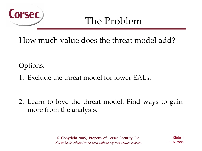

How much value does the threat model add?

Options:

1. Exclude the threat model for lower EALs.

2. Learn to love the threat model. Find ways to gain more from the analysis.

Slide 411/16/2005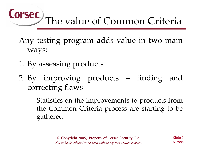#### Corsec. The value of Common Criteria

- Any testing program adds value in two main ways:
- 1. By assessing products
- 2. By improving products finding and correcting flaws

Statistics on the improvements to products from the Common Criteria process are starting to be gathered.

> © Copyright 2005, Property of Corsec Security, Inc. Not to be distributed or re-used without express written consent.

Slide 511/16/2005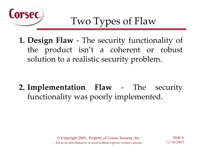

1. Design Flaw - The security functionality of the product isn't a coherent or robust solution to a realistic security problem.

2. Implementation Flaw - The security functionality was poorly implemented.

Slide 611/16/2005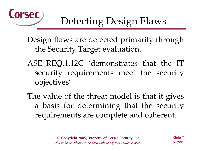

Design flaws are detected primarily through the Security Target evaluation.

ASE REQ.1.12C 'demonstrates that the IT security requirements meet the security objectives'.

The value of the threat model is that it gives a basis for determining that the security requirements are complete and coherent.

Slide 711/16/2005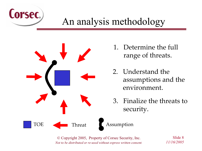

#### An analysis methodology



- 1. Determine the full range of threats.
- 2. Understand the assumptions and the environment.
- 3. Finalize the threats to security.

© Copyright 2005, Property of Corsec Security, Inc. Not to be distributed or re-used without express written consent.

Slide 811/16/2005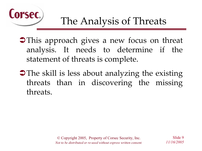

This approach gives a new focus on threat analysis. It needs to determine if the statement of threats is complete.

• The skill is less about analyzing the existing threats than in discovering the missing threats.

Slide 911/16/2005